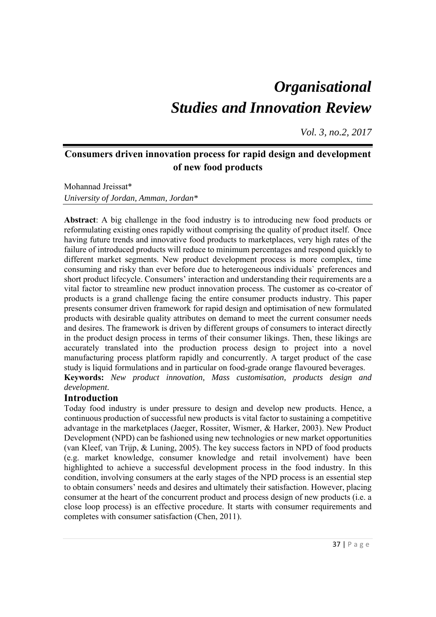# *Organisational Studies and Innovation Review*

*Vol. 3, no.2, 2017*

# **Consumers driven innovation process for rapid design and development of new food products**

Mohannad Jreissat\* *University of Jordan, Amman, Jordan\** 

**Abstract**: A big challenge in the food industry is to introducing new food products or reformulating existing ones rapidly without comprising the quality of product itself. Once having future trends and innovative food products to marketplaces, very high rates of the failure of introduced products will reduce to minimum percentages and respond quickly to different market segments. New product development process is more complex, time consuming and risky than ever before due to heterogeneous individuals` preferences and short product lifecycle. Consumers' interaction and understanding their requirements are a vital factor to streamline new product innovation process. The customer as co-creator of products is a grand challenge facing the entire consumer products industry. This paper presents consumer driven framework for rapid design and optimisation of new formulated products with desirable quality attributes on demand to meet the current consumer needs and desires. The framework is driven by different groups of consumers to interact directly in the product design process in terms of their consumer likings. Then, these likings are accurately translated into the production process design to project into a novel manufacturing process platform rapidly and concurrently. A target product of the case study is liquid formulations and in particular on food-grade orange flavoured beverages. **Keywords:** *New product innovation, Mass customisation, products design and development.* 

## **Introduction**

Today food industry is under pressure to design and develop new products. Hence, a continuous production of successful new products is vital factor to sustaining a competitive advantage in the marketplaces (Jaeger, Rossiter, Wismer, & Harker, 2003). New Product Development (NPD) can be fashioned using new technologies or new market opportunities (van Kleef, van Trijp, & Luning, 2005). The key success factors in NPD of food products (e.g. market knowledge, consumer knowledge and retail involvement) have been highlighted to achieve a successful development process in the food industry. In this condition, involving consumers at the early stages of the NPD process is an essential step to obtain consumers' needs and desires and ultimately their satisfaction. However, placing consumer at the heart of the concurrent product and process design of new products (i.e. a close loop process) is an effective procedure. It starts with consumer requirements and completes with consumer satisfaction (Chen, 2011).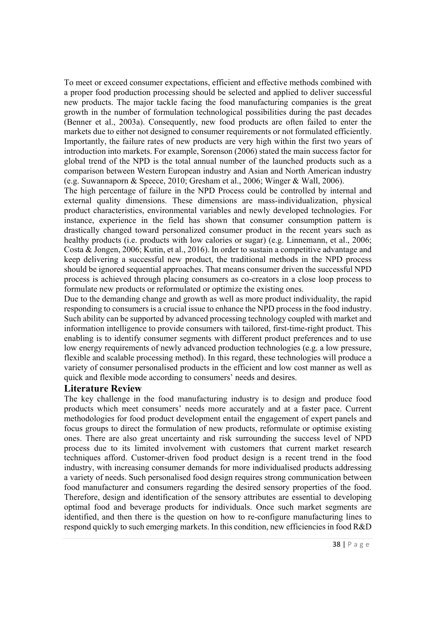To meet or exceed consumer expectations, efficient and effective methods combined with a proper food production processing should be selected and applied to deliver successful new products. The major tackle facing the food manufacturing companies is the great growth in the number of formulation technological possibilities during the past decades (Benner et al., 2003a). Consequently, new food products are often failed to enter the markets due to either not designed to consumer requirements or not formulated efficiently. Importantly, the failure rates of new products are very high within the first two years of introduction into markets. For example, Sorenson (2006) stated the main success factor for global trend of the NPD is the total annual number of the launched products such as a comparison between Western European industry and Asian and North American industry (e.g. Suwannaporn & Speece, 2010; Gresham et al., 2006; Winger & Wall, 2006).

The high percentage of failure in the NPD Process could be controlled by internal and external quality dimensions. These dimensions are mass-individualization, physical product characteristics, environmental variables and newly developed technologies. For instance, experience in the field has shown that consumer consumption pattern is drastically changed toward personalized consumer product in the recent years such as healthy products (i.e. products with low calories or sugar) (e.g. Linnemann, et al., 2006; Costa & Jongen, 2006; Kutin, et al., 2016). In order to sustain a competitive advantage and keep delivering a successful new product, the traditional methods in the NPD process should be ignored sequential approaches. That means consumer driven the successful NPD process is achieved through placing consumers as co-creators in a close loop process to formulate new products or reformulated or optimize the existing ones.

Due to the demanding change and growth as well as more product individuality, the rapid responding to consumers is a crucial issue to enhance the NPD process in the food industry. Such ability can be supported by advanced processing technology coupled with market and information intelligence to provide consumers with tailored, first-time-right product. This enabling is to identify consumer segments with different product preferences and to use low energy requirements of newly advanced production technologies (e.g. a low pressure, flexible and scalable processing method). In this regard, these technologies will produce a variety of consumer personalised products in the efficient and low cost manner as well as quick and flexible mode according to consumers' needs and desires.

#### **Literature Review**

The key challenge in the food manufacturing industry is to design and produce food products which meet consumers' needs more accurately and at a faster pace. Current methodologies for food product development entail the engagement of expert panels and focus groups to direct the formulation of new products, reformulate or optimise existing ones. There are also great uncertainty and risk surrounding the success level of NPD process due to its limited involvement with customers that current market research techniques afford. Customer-driven food product design is a recent trend in the food industry, with increasing consumer demands for more individualised products addressing a variety of needs. Such personalised food design requires strong communication between food manufacturer and consumers regarding the desired sensory properties of the food. Therefore, design and identification of the sensory attributes are essential to developing optimal food and beverage products for individuals. Once such market segments are identified, and then there is the question on how to re-configure manufacturing lines to respond quickly to such emerging markets. In this condition, new efficiencies in food R&D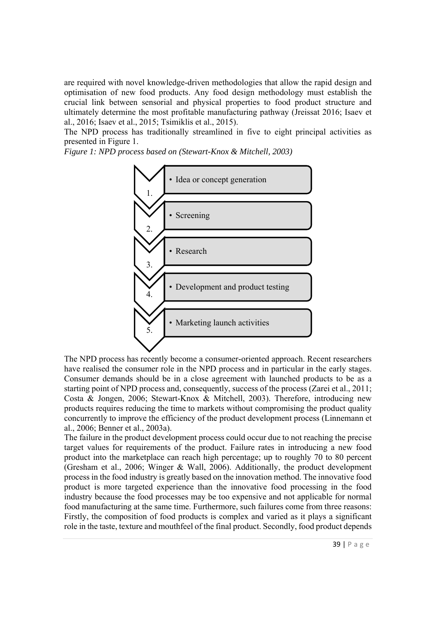are required with novel knowledge-driven methodologies that allow the rapid design and optimisation of new food products. Any food design methodology must establish the crucial link between sensorial and physical properties to food product structure and ultimately determine the most profitable manufacturing pathway (Jreissat 2016; Isaev et al., 2016; Isaev et al., 2015; Tsimiklis et al., 2015).

The NPD process has traditionally streamlined in five to eight principal activities as presented in Figure 1.

*Figure 1: NPD process based on (Stewart-Knox & Mitchell, 2003)* 



The NPD process has recently become a consumer-oriented approach. Recent researchers have realised the consumer role in the NPD process and in particular in the early stages. Consumer demands should be in a close agreement with launched products to be as a starting point of NPD process and, consequently, success of the process (Zarei et al., 2011; Costa & Jongen, 2006; Stewart-Knox & Mitchell, 2003). Therefore, introducing new products requires reducing the time to markets without compromising the product quality concurrently to improve the efficiency of the product development process (Linnemann et al., 2006; Benner et al., 2003a).

The failure in the product development process could occur due to not reaching the precise target values for requirements of the product. Failure rates in introducing a new food product into the marketplace can reach high percentage; up to roughly 70 to 80 percent (Gresham et al., 2006; Winger & Wall, 2006). Additionally, the product development process in the food industry is greatly based on the innovation method. The innovative food product is more targeted experience than the innovative food processing in the food industry because the food processes may be too expensive and not applicable for normal food manufacturing at the same time. Furthermore, such failures come from three reasons: Firstly, the composition of food products is complex and varied as it plays a significant role in the taste, texture and mouthfeel of the final product. Secondly, food product depends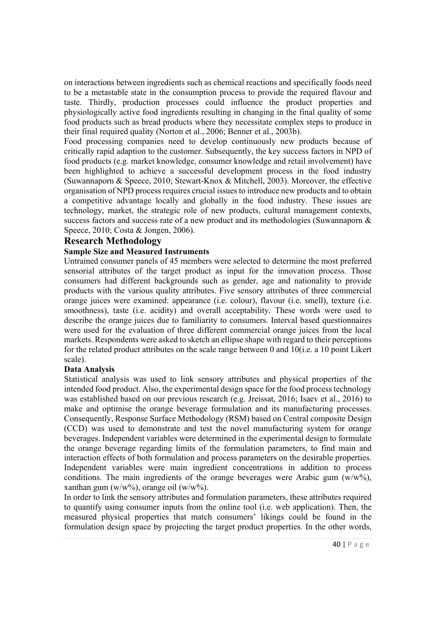on interactions between ingredients such as chemical reactions and specifically foods need to be a metastable state in the consumption process to provide the required flavour and taste. Thirdly, production processes could influence the product properties and physiologically active food ingredients resulting in changing in the final quality of some food products such as bread products where they necessitate complex steps to produce in their final required quality (Norton et al., 2006; Benner et al., 2003b).

Food processing companies need to develop continuously new products because of critically rapid adaption to the customer. Subsequently, the key success factors in NPD of food products (e.g. market knowledge, consumer knowledge and retail involvement) have been highlighted to achieve a successful development process in the food industry (Suwannaporn & Speece, 2010; Stewart-Knox & Mitchell, 2003). Moreover, the effective organisation of NPD process requires crucial issues to introduce new products and to obtain a competitive advantage locally and globally in the food industry. These issues are technology, market, the strategic role of new products, cultural management contexts, success factors and success rate of a new product and its methodologies (Suwannaporn & Speece, 2010; Costa & Jongen, 2006).

#### **Research Methodology**

#### **Sample Size and Measured Instruments**

Untrained consumer panels of 45 members were selected to determine the most preferred sensorial attributes of the target product as input for the innovation process. Those consumers had different backgrounds such as gender, age and nationality to provide products with the various quality attributes. Five sensory attributes of three commercial orange juices were examined: appearance (i.e. colour), flavour (i.e. smell), texture (i.e. smoothness), taste (i.e. acidity) and overall acceptability. These words were used to describe the orange juices due to familiarity to consumers. Interval based questionnaires were used for the evaluation of three different commercial orange juices from the local markets. Respondents were asked to sketch an ellipse shape with regard to their perceptions for the related product attributes on the scale range between 0 and 10(i.e. a 10 point Likert scale).

#### **Data Analysis**

Statistical analysis was used to link sensory attributes and physical properties of the intended food product. Also, the experimental design space for the food process technology was established based on our previous research (e.g. Jreissat, 2016; Isaev et al., 2016) to make and optimise the orange beverage formulation and its manufacturing processes. Consequently, Response Surface Methodology (RSM) based on Central composite Design (CCD) was used to demonstrate and test the novel manufacturing system for orange beverages. Independent variables were determined in the experimental design to formulate the orange beverage regarding limits of the formulation parameters, to find main and interaction effects of both formulation and process parameters on the desirable properties. Independent variables were main ingredient concentrations in addition to process conditions. The main ingredients of the orange beverages were Arabic gum  $(w/w\%)$ . xanthan gum (w/w%), orange oil (w/w%).

In order to link the sensory attributes and formulation parameters, these attributes required to quantify using consumer inputs from the online tool (i.e. web application). Then, the measured physical properties that match consumers' likings could be found in the formulation design space by projecting the target product properties. In the other words,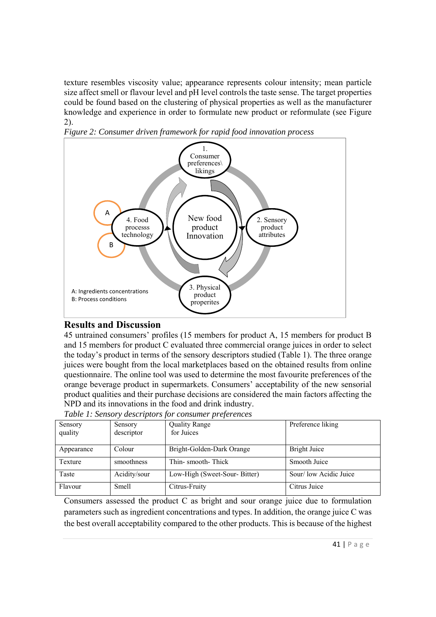texture resembles viscosity value; appearance represents colour intensity; mean particle size affect smell or flavour level and pH level controls the taste sense. The target properties could be found based on the clustering of physical properties as well as the manufacturer knowledge and experience in order to formulate new product or reformulate (see Figure 2).





## **Results and Discussion**

45 untrained consumers' profiles (15 members for product A, 15 members for product B and 15 members for product C evaluated three commercial orange juices in order to select the today's product in terms of the sensory descriptors studied (Table 1). The three orange juices were bought from the local marketplaces based on the obtained results from online questionnaire. The online tool was used to determine the most favourite preferences of the orange beverage product in supermarkets. Consumers' acceptability of the new sensorial product qualities and their purchase decisions are considered the main factors affecting the NPD and its innovations in the food and drink industry.

| Sensory<br>quality | Sensory<br>descriptor | <b>Quality Range</b><br>for Juices | Preference liking      |
|--------------------|-----------------------|------------------------------------|------------------------|
|                    |                       |                                    |                        |
| Appearance         | Colour                | Bright-Golden-Dark Orange          | Bright Juice           |
| Texture            | smoothness            | Thin-smooth-Thick                  | Smooth Juice           |
| Taste              | Acidity/sour          | Low-High (Sweet-Sour-Bitter)       | Sour/ low Acidic Juice |
| Flavour            | <b>Smell</b>          | Citrus-Fruity                      | Citrus Juice           |

*Table 1: Sensory descriptors for consumer preferences* 

Consumers assessed the product C as bright and sour orange juice due to formulation parameters such as ingredient concentrations and types. In addition, the orange juice C was the best overall acceptability compared to the other products. This is because of the highest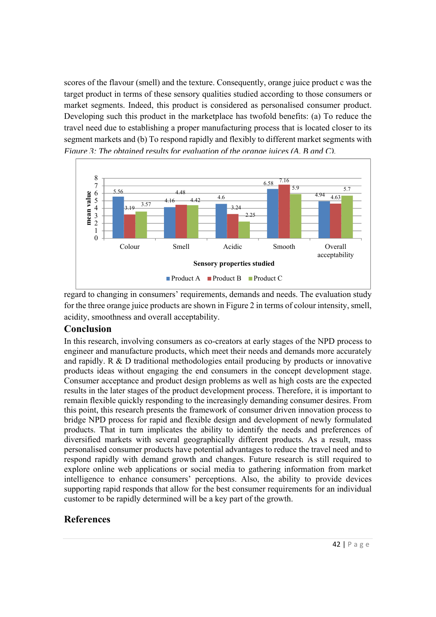scores of the flavour (smell) and the texture. Consequently, orange juice product c was the target product in terms of these sensory qualities studied according to those consumers or market segments. Indeed, this product is considered as personalised consumer product. Developing such this product in the marketplace has twofold benefits: (a) To reduce the travel need due to establishing a proper manufacturing process that is located closer to its segment markets and (b) To respond rapidly and flexibly to different market segments with *Figure 3: The obtained results for evaluation of the orange juices (A, B and C).*



regard to changing in consumers' requirements, demands and needs. The evaluation study for the three orange juice products are shown in Figure 2 in terms of colour intensity, smell, acidity, smoothness and overall acceptability.

## **Conclusion**

In this research, involving consumers as co-creators at early stages of the NPD process to engineer and manufacture products, which meet their needs and demands more accurately and rapidly. R & D traditional methodologies entail producing by products or innovative products ideas without engaging the end consumers in the concept development stage. Consumer acceptance and product design problems as well as high costs are the expected results in the later stages of the product development process. Therefore, it is important to remain flexible quickly responding to the increasingly demanding consumer desires. From this point, this research presents the framework of consumer driven innovation process to bridge NPD process for rapid and flexible design and development of newly formulated products. That in turn implicates the ability to identify the needs and preferences of diversified markets with several geographically different products. As a result, mass personalised consumer products have potential advantages to reduce the travel need and to respond rapidly with demand growth and changes. Future research is still required to explore online web applications or social media to gathering information from market intelligence to enhance consumers' perceptions. Also, the ability to provide devices supporting rapid responds that allow for the best consumer requirements for an individual customer to be rapidly determined will be a key part of the growth.

## **References**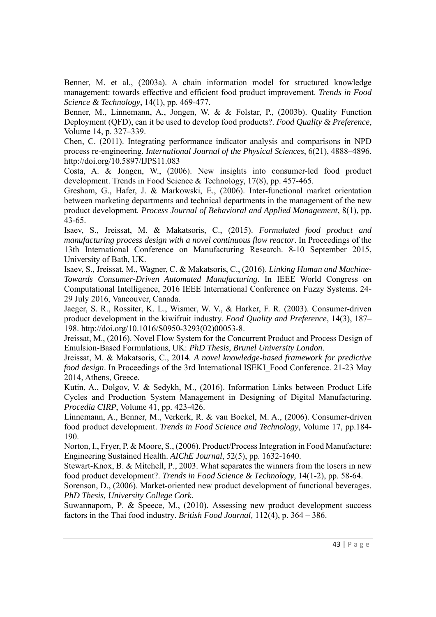Benner, M. et al., (2003a). A chain information model for structured knowledge management: towards effective and efficient food product improvement. *Trends in Food Science & Technology*, 14(1), pp. 469-477.

Benner, M., Linnemann, A., Jongen, W. & & Folstar, P., (2003b). Quality Function Deployment (QFD), can it be used to develop food products?. *Food Quality & Preference*, Volume 14, p. 327–339.

Chen, C. (2011). Integrating performance indicator analysis and comparisons in NPD process re-engineering. *International Journal of the Physical Sciences*, 6(21), 4888–4896. http://doi.org/10.5897/IJPS11.083

Costa, A. & Jongen, W., (2006). New insights into consumer-led food product development. Trends in Food Science & Technology, 17(8), pp. 457-465.

Gresham, G., Hafer, J. & Markowski, E., (2006). Inter-functional market orientation between marketing departments and technical departments in the management of the new product development. *Process Journal of Behavioral and Applied Management*, 8(1), pp. 43-65.

Isaev, S., Jreissat, M. & Makatsoris, C., (2015). *Formulated food product and manufacturing process design with a novel continuous flow reactor*. In Proceedings of the 13th International Conference on Manufacturing Research. 8-10 September 2015, University of Bath, UK.

Isaev, S., Jreissat, M., Wagner, C. & Makatsoris, C., (2016). *Linking Human and Machine-Towards Consumer-Driven Automated Manufacturing*. In IEEE World Congress on Computational Intelligence, 2016 IEEE International Conference on Fuzzy Systems. 24- 29 July 2016, Vancouver, Canada.

Jaeger, S. R., Rossiter, K. L., Wismer, W. V., & Harker, F. R. (2003). Consumer-driven product development in the kiwifruit industry. *Food Quality and Preference*, 14(3), 187– 198. http://doi.org/10.1016/S0950-3293(02)00053-8.

Jreissat, M., (2016). Novel Flow System for the Concurrent Product and Process Design of Emulsion-Based Formulations, UK: *PhD Thesis, Brunel University London*.

Jreissat, M. & Makatsoris, C., 2014. *A novel knowledge-based framework for predictive food design*. In Proceedings of the 3rd International ISEKI\_Food Conference. 21-23 May 2014, Athens, Greece.

Kutin, A., Dolgov, V. & Sedykh, M., (2016). Information Links between Product Life Cycles and Production System Management in Designing of Digital Manufacturing. *Procedia CIRP*, Volume 41, pp. 423-426.

Linnemann, A., Benner, M., Verkerk, R. & van Boekel, M. A., (2006). Consumer-driven food product development. *Trends in Food Science and Technology*, Volume 17, pp.184- 190.

Norton, I., Fryer, P. & Moore, S., (2006). Product/Process Integration in Food Manufacture: Engineering Sustained Health. *AIChE Journal*, 52(5), pp. 1632-1640.

Stewart-Knox, B. & Mitchell, P., 2003. What separates the winners from the losers in new food product development?. *Trends in Food Science & Technology,* 14(1-2), pp. 58-64.

Sorenson, D., (2006). Market-oriented new product development of functional beverages. *PhD Thesis, University College Cork.* 

Suwannaporn, P. & Speece, M., (2010). Assessing new product development success factors in the Thai food industry. *British Food Journal,* 112(4), p. 364 – 386.